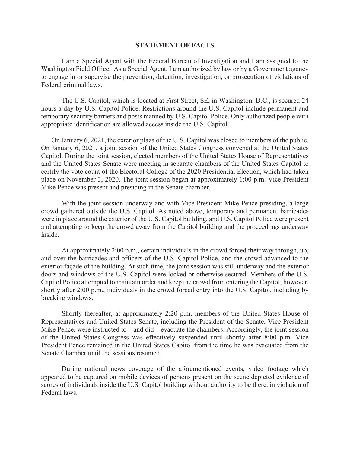## **STATEMENT OF FACTS**

I am a Special Agent with the Federal Bureau of Investigation and I am assigned to the Washington Field Office. As a Special Agent, I am authorized by law or by a Government agency to engage in or supervise the prevention, detention, investigation, or prosecution of violations of Federal criminal laws.

The U.S. Capitol, which is located at First Street, SE, in Washington, D.C., is secured 24 hours a day by U.S. Capitol Police. Restrictions around the U.S. Capitol include permanent and temporary security barriers and posts manned by U.S. Capitol Police. Only authorized people with appropriate identification are allowed access inside the U.S. Capitol.

On January 6, 2021, the exterior plaza of the U.S. Capitol was closed to members of the public. On January 6, 2021, a joint session of the United States Congress convened at the United States Capitol. During the joint session, elected members of the United States House of Representatives and the United States Senate were meeting in separate chambers of the United States Capitol to certify the vote count of the Electoral College of the 2020 Presidential Election, which had taken place on November 3, 2020. The joint session began at approximately 1:00 p.m. Vice President Mike Pence was present and presiding in the Senate chamber.

With the joint session underway and with Vice President Mike Pence presiding, a large crowd gathered outside the U.S. Capitol. As noted above, temporary and permanent barricades were in place around the exterior of the U.S. Capitol building, and U.S. Capitol Police were present and attempting to keep the crowd away from the Capitol building and the proceedings underway inside.

At approximately 2:00 p.m., certain individuals in the crowd forced their way through, up, and over the barricades and officers of the U.S. Capitol Police, and the crowd advanced to the exterior façade of the building. At such time, the joint session was still underway and the exterior doors and windows of the U.S. Capitol were locked or otherwise secured. Members of the U.S. Capitol Police attempted to maintain order and keep the crowd from entering the Capitol; however, shortly after 2:00 p.m., individuals in the crowd forced entry into the U.S. Capitol, including by breaking windows.

Shortly thereafter, at approximately 2:20 p.m. members of the United States House of Representatives and United States Senate, including the President of the Senate, Vice President Mike Pence, were instructed to—and did—evacuate the chambers. Accordingly, the joint session of the United States Congress was effectively suspended until shortly after 8:00 p.m. Vice President Pence remained in the United States Capitol from the time he was evacuated from the Senate Chamber until the sessions resumed.

During national news coverage of the aforementioned events, video footage which appeared to be captured on mobile devices of persons present on the scene depicted evidence of scores of individuals inside the U.S. Capitol building without authority to be there, in violation of Federal laws.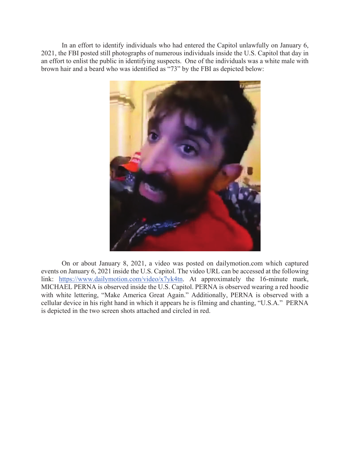In an effort to identify individuals who had entered the Capitol unlawfully on January 6, 2021, the FBI posted still photographs of numerous individuals inside the U.S. Capitol that day in an effort to enlist the public in identifying suspects. One of the individuals was a white male with brown hair and a beard who was identified as "73" by the FBI as depicted below:



On or about January 8, 2021, a video was posted on [dailymotion.com](https://dailymotion.com) which captured events on January 6, 2021 inside the U.S. Capitol. The video URL can be accessed at the following link: [https://www.dailymotion.com/video/x7yk4tn.](https://www.dailymotion.com/video/x7yk4tn) At approximately the 16-minute mark, MICHAEL PERNA is observed inside the U.S. Capitol. PERNA is observed wearing a red hoodie with white lettering, "Make America Great Again." Additionally, PERNA is observed with a cellular device in his right hand in which it appears he is filming and chanting, "U.S.A." PERNA is depicted in the two screen shots attached and circled in red.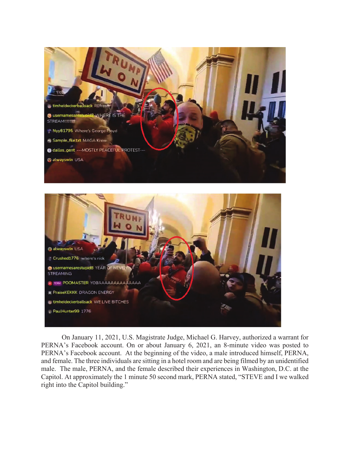



On January 11, 2021, U.S. Magistrate Judge, Michael G. Harvey, authorized a warrant for PERNA's Facebook account. On or about January 6, 2021, an 8-minute video was posted to PERNA's Facebook account. At the beginning of the video, a male introduced himself, PERNA, and female. The three individuals are sitting in a hotel room and are being filmed by an unidentified male. The male, PERNA, and the female described their experiences in Washington, D.C. at the Capitol. At approximately the 1 minute 50 second mark, PERNA stated, "STEVE and I we walked right into the Capitol building."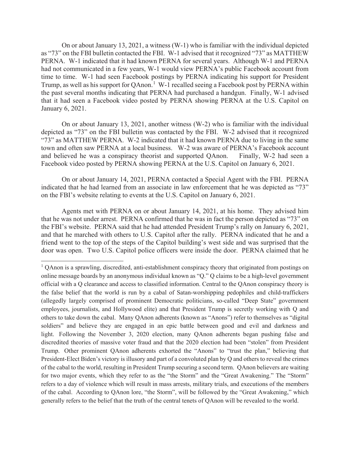On or about January 13, 2021, a witness (W-1) who is familiar with the individual depicted as "73" on the FBI bulletin contacted the FBI. W-1 advised that it recognized "73" as MATTHEW PERNA. W-1 indicated that it had known PERNA for several years. Although W-1 and PERNA had not communicated in a few years, W-1 would view PERNA's public Facebook account from time to time. W-1 had seen Facebook postings by PERNA indicating his support for President Trump, as well as his support for QAnon.<sup>1</sup> W-1 recalled seeing a Facebook post by PERNA within the past several months indicating that PERNA had purchased a handgun. Finally, W-1 advised that it had seen a Facebook video posted by PERNA showing PERNA at the U.S. Capitol on January 6, 2021.

On or about January 13, 2021, another witness (W-2) who is familiar with the individual depicted as "73" on the FBI bulletin was contacted by the FBI. W-2 advised that it recognized "73" as MATTHEW PERNA. W-2 indicated that it had known PERNA due to living in the same town and often saw PERNA at a local business. W-2 was aware of PERNA's Facebook account and believed he was a conspiracy theorist and supported QAnon. Finally, W-2 had seen a and believed he was a conspiracy theorist and supported QAnon. Facebook video posted by PERNA showing PERNA at the U.S. Capitol on January 6, 2021.

On or about January 14, 2021, PERNA contacted a Special Agent with the FBI. PERNA indicated that he had learned from an associate in law enforcement that he was depicted as "73" on the FBI's website relating to events at the U.S. Capitol on January 6, 2021.

Agents met with PERNA on or about January 14, 2021, at his home. They advised him that he was not under arrest. PERNA confirmed that he was in fact the person depicted as "73" on the FBI's website. PERNA said that he had attended President Trump's rally on January 6, 2021, and that he marched with others to U.S. Capitol after the rally. PERNA indicated that he and a friend went to the top of the steps of the Capitol building's west side and was surprised that the door was open. Two U.S. Capitol police officers were inside the door. PERNA claimed that he

 $1$  QAnon is a sprawling, discredited, anti-establishment conspiracy theory that originated from postings on online message boards by an anonymous individual known as "Q." Q claims to be a high-level government official with a Q clearance and access to classified information. Central to the QAnon conspiracy theory is the false belief that the world is run by a cabal of Satan-worshipping pedophiles and child-traffickers (allegedly largely comprised of prominent Democratic politicians, so-called "Deep State" government employees, journalists, and Hollywood elite) and that President Trump is secretly working with Q and others to take down the cabal. Many QAnon adherents (known as "Anons") refer to themselves as "digital soldiers" and believe they are engaged in an epic battle between good and evil and darkness and light. Following the November 3, 2020 election, many QAnon adherents began pushing false and discredited theories of massive voter fraud and that the 2020 election had been "stolen" from President Trump. Other prominent QAnon adherents exhorted the "Anons" to "trust the plan," believing that President-Elect Biden's victory is illusory and part of a convoluted plan by Q and others to reveal the crimes of the cabal to the world, resulting in President Trump securing a second term. QAnon believers are waiting for two major events, which they refer to as the "the Storm" and the "Great Awakening." The "Storm" refers to a day of violence which will result in mass arrests, military trials, and executions of the members of the cabal. According to QAnon lore, "the Storm", will be followed by the "Great Awakening," which generally refers to the belief that the truth of the central tenets of QAnon will be revealed to the world.